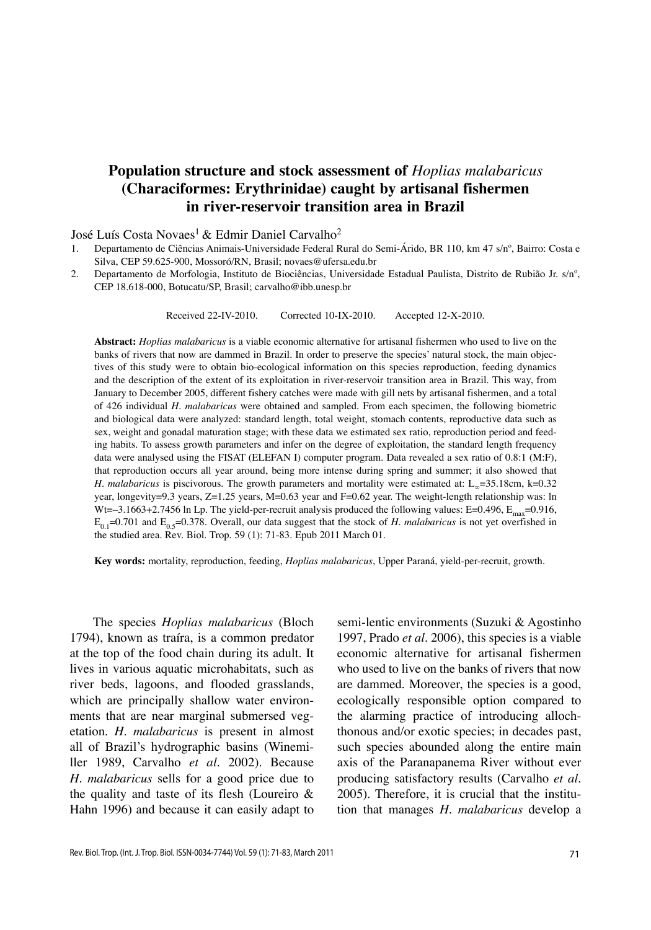# **Population structure and stock assessment of** *Hoplias malabaricus* **(Characiformes: Erythrinidae) caught by artisanal fishermen in river-reservoir transition area in Brazil**

### José Luís Costa Novaes<sup>1</sup> & Edmir Daniel Carvalho<sup>2</sup>

- 1. Departamento de Ciências Animais-Universidade Federal Rural do Semi-Árido, BR 110, km 47 s/nº, Bairro: Costa e Silva, CEP 59.625-900, Mossoró/RN, Brasil; novaes@ufersa.edu.br
- 2. Departamento de Morfologia, Instituto de Biociências, Universidade Estadual Paulista, Distrito de Rubião Jr. s/nº, CEP 18.618-000, Botucatu/SP, Brasil; carvalho@ibb.unesp.br

Received 22-IV-2010. Corrected 10-IX-2010. Accepted 12-X-2010.

**Abstract:** *Hoplias malabaricus* is a viable economic alternative for artisanal fishermen who used to live on the banks of rivers that now are dammed in Brazil. In order to preserve the species' natural stock, the main objectives of this study were to obtain bio-ecological information on this species reproduction, feeding dynamics and the description of the extent of its exploitation in river-reservoir transition area in Brazil. This way, from January to December 2005, different fishery catches were made with gill nets by artisanal fishermen, and a total of 426 individual *H. malabaricus* were obtained and sampled. From each specimen, the following biometric and biological data were analyzed: standard length, total weight, stomach contents, reproductive data such as sex, weight and gonadal maturation stage; with these data we estimated sex ratio, reproduction period and feeding habits. To assess growth parameters and infer on the degree of exploitation, the standard length frequency data were analysed using the FISAT (ELEFAN I) computer program. Data revealed a sex ratio of 0.8:1 (M:F), that reproduction occurs all year around, being more intense during spring and summer; it also showed that *H. malabaricus* is piscivorous. The growth parameters and mortality were estimated at: L<sub>∞</sub>=35.18cm, k=0.32 year, longevity=9.3 years, Z=1.25 years, M=0.63 year and F=0.62 year. The weight-length relationship was: ln Wt=–3.1663+2.7456 ln Lp. The yield-per-recruit analysis produced the following values: E=0.496,  $E_{\text{max}}$ =0.916,  $E_{0.1}=0.701$  and  $E_{0.5}=0.378$ . Overall, our data suggest that the stock of *H. malabaricus* is not yet overfished in the studied area. Rev. Biol. Trop. 59 (1): 71-83. Epub 2011 March 01.

**Key words:** mortality, reproduction, feeding, *Hoplias malabaricus*, Upper Paraná, yield-per-recruit, growth.

The species *Hoplias malabaricus* (Bloch 1794), known as traíra, is a common predator at the top of the food chain during its adult. It lives in various aquatic microhabitats, such as river beds, lagoons, and flooded grasslands, which are principally shallow water environments that are near marginal submersed vegetation. *H. malabaricus* is present in almost all of Brazil's hydrographic basins (Winemiller 1989, Carvalho *et al.* 2002). Because *H. malabaricus* sells for a good price due to the quality and taste of its flesh (Loureiro & Hahn 1996) and because it can easily adapt to

semi-lentic environments (Suzuki & Agostinho 1997, Prado *et al.* 2006), this species is a viable economic alternative for artisanal fishermen who used to live on the banks of rivers that now are dammed. Moreover, the species is a good, ecologically responsible option compared to the alarming practice of introducing allochthonous and/or exotic species; in decades past, such species abounded along the entire main axis of the Paranapanema River without ever producing satisfactory results (Carvalho *et al.* 2005). Therefore, it is crucial that the institution that manages *H. malabaricus* develop a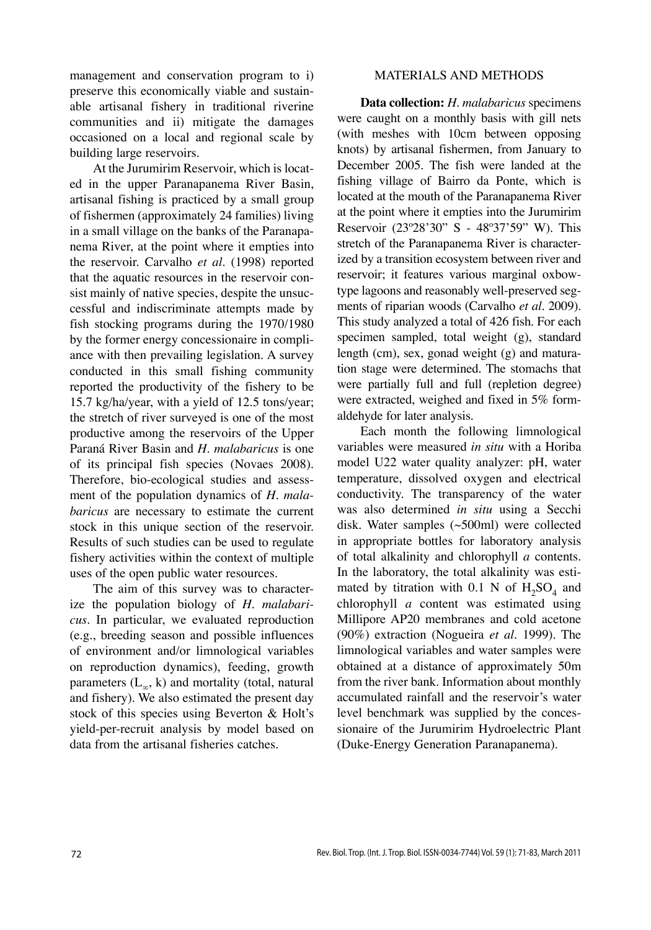management and conservation program to i) preserve this economically viable and sustainable artisanal fishery in traditional riverine communities and ii) mitigate the damages occasioned on a local and regional scale by building large reservoirs.

At the Jurumirim Reservoir, which is located in the upper Paranapanema River Basin, artisanal fishing is practiced by a small group of fishermen (approximately 24 families) living in a small village on the banks of the Paranapanema River, at the point where it empties into the reservoir. Carvalho *et al*. (1998) reported that the aquatic resources in the reservoir consist mainly of native species, despite the unsuccessful and indiscriminate attempts made by fish stocking programs during the 1970/1980 by the former energy concessionaire in compliance with then prevailing legislation. A survey conducted in this small fishing community reported the productivity of the fishery to be 15.7 kg/ha/year, with a yield of 12.5 tons/year; the stretch of river surveyed is one of the most productive among the reservoirs of the Upper Paraná River Basin and *H. malabaricus* is one of its principal fish species (Novaes 2008). Therefore, bio-ecological studies and assessment of the population dynamics of *H. malabaricus* are necessary to estimate the current stock in this unique section of the reservoir. Results of such studies can be used to regulate fishery activities within the context of multiple uses of the open public water resources.

The aim of this survey was to characterize the population biology of *H. malabaricus*. In particular, we evaluated reproduction (e.g., breeding season and possible influences of environment and/or limnological variables on reproduction dynamics), feeding, growth parameters  $(L_{\infty}, k)$  and mortality (total, natural and fishery). We also estimated the present day stock of this species using Beverton & Holt's yield-per-recruit analysis by model based on data from the artisanal fisheries catches.

# MATERIALS AND METHODS

**Data collection:** *H. malabaricus* specimens were caught on a monthly basis with gill nets (with meshes with 10cm between opposing knots) by artisanal fishermen, from January to December 2005. The fish were landed at the fishing village of Bairro da Ponte, which is located at the mouth of the Paranapanema River at the point where it empties into the Jurumirim Reservoir (23º28'30" S - 48º37'59" W). This stretch of the Paranapanema River is characterized by a transition ecosystem between river and reservoir; it features various marginal oxbowtype lagoons and reasonably well-preserved segments of riparian woods (Carvalho *et al.* 2009). This study analyzed a total of 426 fish. For each specimen sampled, total weight (g), standard length (cm), sex, gonad weight (g) and maturation stage were determined. The stomachs that were partially full and full (repletion degree) were extracted, weighed and fixed in 5% formaldehyde for later analysis.

Each month the following limnological variables were measured *in situ* with a Horiba model U22 water quality analyzer: pH, water temperature, dissolved oxygen and electrical conductivity. The transparency of the water was also determined *in situ* using a Secchi disk. Water samples (~500ml) were collected in appropriate bottles for laboratory analysis of total alkalinity and chlorophyll *a* contents. In the laboratory, the total alkalinity was estimated by titration with 0.1 N of  $H_2SO_4$  and chlorophyll *a* content was estimated using Millipore AP20 membranes and cold acetone (90%) extraction (Nogueira *et al.* 1999). The limnological variables and water samples were obtained at a distance of approximately 50m from the river bank. Information about monthly accumulated rainfall and the reservoir's water level benchmark was supplied by the concessionaire of the Jurumirim Hydroelectric Plant (Duke-Energy Generation Paranapanema).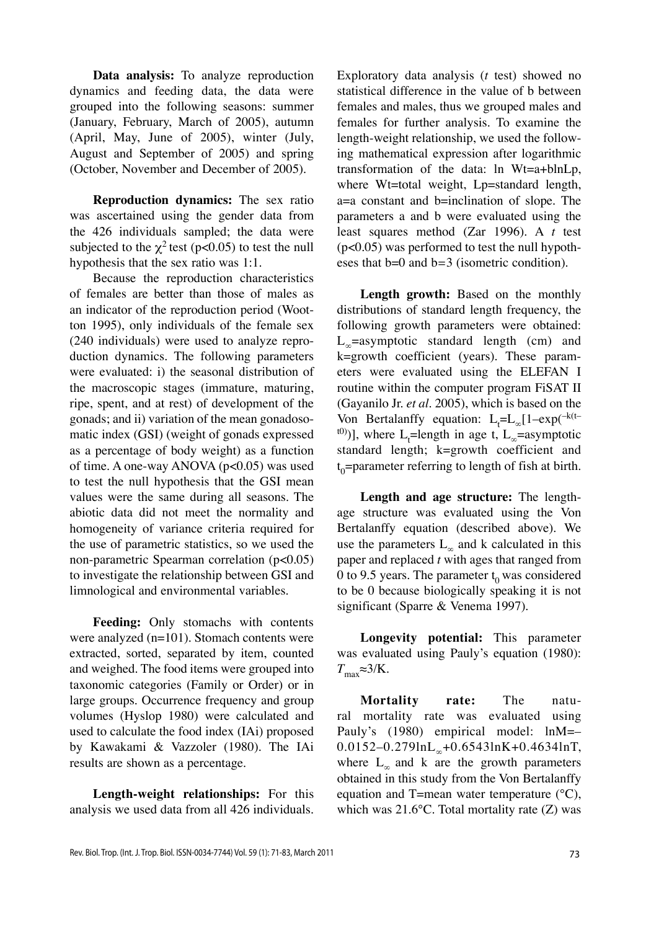**Data analysis:** To analyze reproduction dynamics and feeding data, the data were grouped into the following seasons: summer (January, February, March of 2005), autumn (April, May, June of 2005), winter (July, August and September of 2005) and spring (October, November and December of 2005).

**Reproduction dynamics:** The sex ratio was ascertained using the gender data from the 426 individuals sampled; the data were subjected to the  $\chi^2$  test (p<0.05) to test the null hypothesis that the sex ratio was 1:1.

Because the reproduction characteristics of females are better than those of males as an indicator of the reproduction period (Wootton 1995), only individuals of the female sex (240 individuals) were used to analyze reproduction dynamics. The following parameters were evaluated: i) the seasonal distribution of the macroscopic stages (immature, maturing, ripe, spent, and at rest) of development of the gonads; and ii) variation of the mean gonadosomatic index (GSI) (weight of gonads expressed as a percentage of body weight) as a function of time. A one-way ANOVA (p<0.05) was used to test the null hypothesis that the GSI mean values were the same during all seasons. The abiotic data did not meet the normality and homogeneity of variance criteria required for the use of parametric statistics, so we used the non-parametric Spearman correlation (p<0.05) to investigate the relationship between GSI and limnological and environmental variables.

**Feeding:** Only stomachs with contents were analyzed (n=101). Stomach contents were extracted, sorted, separated by item, counted and weighed. The food items were grouped into taxonomic categories (Family or Order) or in large groups. Occurrence frequency and group volumes (Hyslop 1980) were calculated and used to calculate the food index (IAi) proposed by Kawakami & Vazzoler (1980). The IAi results are shown as a percentage.

**Length-weight relationships:** For this analysis we used data from all 426 individuals. Exploratory data analysis (*t* test) showed no statistical difference in the value of b between females and males, thus we grouped males and females for further analysis. To examine the length-weight relationship, we used the following mathematical expression after logarithmic transformation of the data: ln Wt=a+blnLp, where Wt=total weight, Lp=standard length, a=a constant and b=inclination of slope. The parameters a and b were evaluated using the least squares method (Zar 1996). A *t* test (p<0.05) was performed to test the null hypotheses that b=0 and b*=*3 (isometric condition).

**Length growth:** Based on the monthly distributions of standard length frequency, the following growth parameters were obtained:  $L_{\infty}$ =asymptotic standard length (cm) and k=growth coefficient (years). These parameters were evaluated using the ELEFAN I routine within the computer program FiSAT II (Gayanilo Jr. *et al.* 2005), which is based on the Von Bertalanffy equation:  $L_t = L_\infty [1 - \exp(-k(t-\frac{1}{2}))(1-\exp(-k(t-\frac{1}{2})))$ <sup>t(0)</sup>)], where L<sub>t</sub>=length in age t, L<sub>∞</sub>=asymptotic standard length; k=growth coefficient and t 0=parameter referring to length of fish at birth.

**Length and age structure:** The lengthage structure was evaluated using the Von Bertalanffy equation (described above). We use the parameters  $L_{\infty}$  and k calculated in this paper and replaced *t* with ages that ranged from 0 to 9.5 years. The parameter  $t_0$  was considered to be 0 because biologically speaking it is not significant (Sparre & Venema 1997).

**Longevity potential:** This parameter was evaluated using Pauly's equation (1980):  $T_{\text{max}}$ ≈3/K.

**Mortality rate:** The natural mortality rate was evaluated using Pauly's (1980) empirical model: lnM=– 0.0152–0.279lnL<sub>∞</sub>+0.6543lnK+0.4634lnT, where  $L_{\infty}$  and k are the growth parameters obtained in this study from the Von Bertalanffy equation and T=mean water temperature (°C), which was 21.6°C. Total mortality rate (Z) was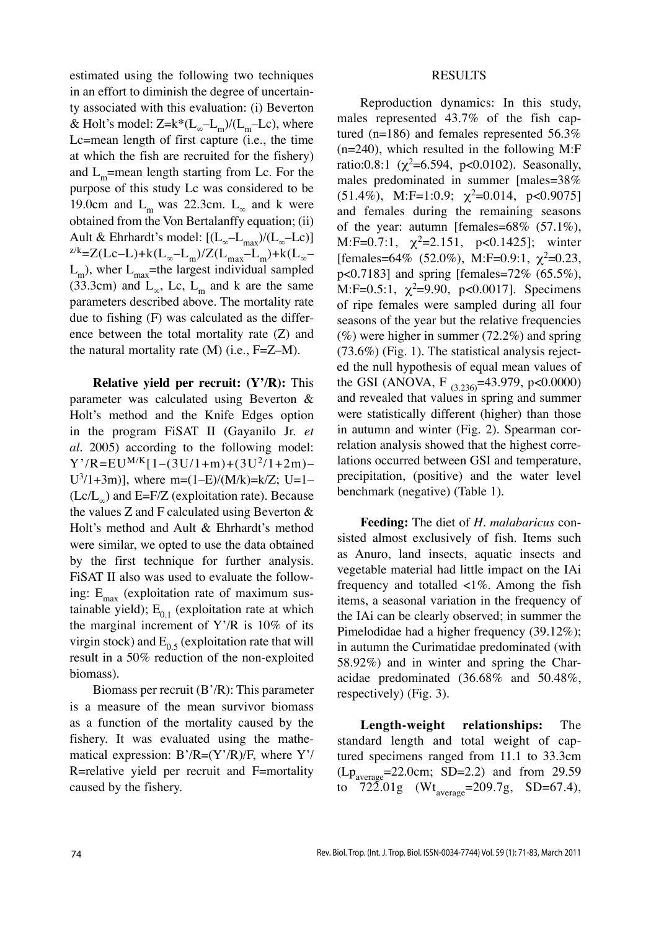estimated using the following two techniques in an effort to diminish the degree of uncertainty associated with this evaluation: (i) Beverton & Holt's model:  $Z=k*(L_{\infty}-L_{m})/(L_{m}-Lc)$ , where Lc=mean length of first capture (i.e., the time at which the fish are recruited for the fishery) and  $L_m$ =mean length starting from Lc. For the purpose of this study Lc was considered to be 19.0cm and  $L_m$  was 22.3cm.  $L_\infty$  and k were obtained from the Von Bertalanffy equation; (ii) Ault & Ehrhardt's model:  $[(L_{\infty}-L_{\max})/(L_{\infty}-Lc)]$  $z/k=Z(Lc-L)+k(L_{\infty}-L_m)/Z(L_{max}-L_m)+k(L_{\infty}-L_m)$  $L_m$ ), wher  $L_{\text{max}}$ =the largest individual sampled (33.3cm) and  $L_{\infty}$ , Lc,  $L_{\text{m}}$  and k are the same parameters described above. The mortality rate due to fishing (F) was calculated as the difference between the total mortality rate (Z) and the natural mortality rate  $(M)$  (i.e., F=Z–M).

**Relative yield per recruit: (Y'/R):** This parameter was calculated using Beverton & Holt's method and the Knife Edges option in the program FiSAT II (Gayanilo Jr. *et al.* 2005) according to the following model:  $Y'/R = EU^{M/K}[1-(3U/1+m)+(3U^2/1+2m) U^3/1+3m$ ], where m=(1–E)/(M/k)=k/Z; U=1–  $(Le/L_{\infty})$  and E=F/Z (exploitation rate). Because the values Z and F calculated using Beverton  $\&$ Holt's method and Ault & Ehrhardt's method were similar, we opted to use the data obtained by the first technique for further analysis. FiSAT II also was used to evaluate the following:  $E_{\text{max}}$  (exploitation rate of maximum sustainable yield);  $E_{0,1}$  (exploitation rate at which the marginal increment of  $Y'/R$  is 10% of its virgin stock) and  $E_{0.5}$  (exploitation rate that will result in a 50% reduction of the non-exploited biomass).

Biomass per recruit (B'/R): This parameter is a measure of the mean survivor biomass as a function of the mortality caused by the fishery. It was evaluated using the mathematical expression:  $B'/R = (Y'/R)/F$ , where  $Y'$ R=relative yield per recruit and F=mortality caused by the fishery.

### RESULTS

Reproduction dynamics: In this study, males represented 43.7% of the fish captured (n=186) and females represented 56.3% (n=240), which resulted in the following M:F ratio:0.8:1 ( $\chi^2$ =6.594, p<0.0102). Seasonally, males predominated in summer [males=38% (51.4%), M:F=1:0.9;  $\chi^2$ =0.014, p<0.9075] and females during the remaining seasons of the year: autumn [females= $68\%$  (57.1%), M:F=0.7:1,  $\chi^2$ =2.151, p<0.1425]; winter [females=64% (52.0%), M:F=0.9:1,  $\chi^2$ =0.23, p<0.7183] and spring [females=72% (65.5%), M:F=0.5:1,  $\chi^2$ =9.90, p<0.0017]. Specimens of ripe females were sampled during all four seasons of the year but the relative frequencies  $(\%)$  were higher in summer (72.2%) and spring (73.6%) (Fig. 1). The statistical analysis rejected the null hypothesis of equal mean values of the GSI (ANOVA, F  $_{(3.236)}=43.979$ , p<0.0000) and revealed that values in spring and summer were statistically different (higher) than those in autumn and winter (Fig. 2). Spearman correlation analysis showed that the highest correlations occurred between GSI and temperature, precipitation, (positive) and the water level benchmark (negative) (Table 1).

**Feeding:** The diet of *H. malabaricus* consisted almost exclusively of fish. Items such as Anuro, land insects, aquatic insects and vegetable material had little impact on the IAi frequency and totalled <1%. Among the fish items, a seasonal variation in the frequency of the IAi can be clearly observed; in summer the Pimelodidae had a higher frequency (39.12%); in autumn the Curimatidae predominated (with 58.92%) and in winter and spring the Characidae predominated (36.68% and 50.48%, respectively) (Fig. 3).

**Length-weight relationships:** The standard length and total weight of captured specimens ranged from 11.1 to 33.3cm  $(Lp_{\text{average}}=22.0cm; SD=2.2)$  and from 29.59 to  $72\bar{2}.01g$  (Wt<sub>average</sub>=209.7g, SD=67.4),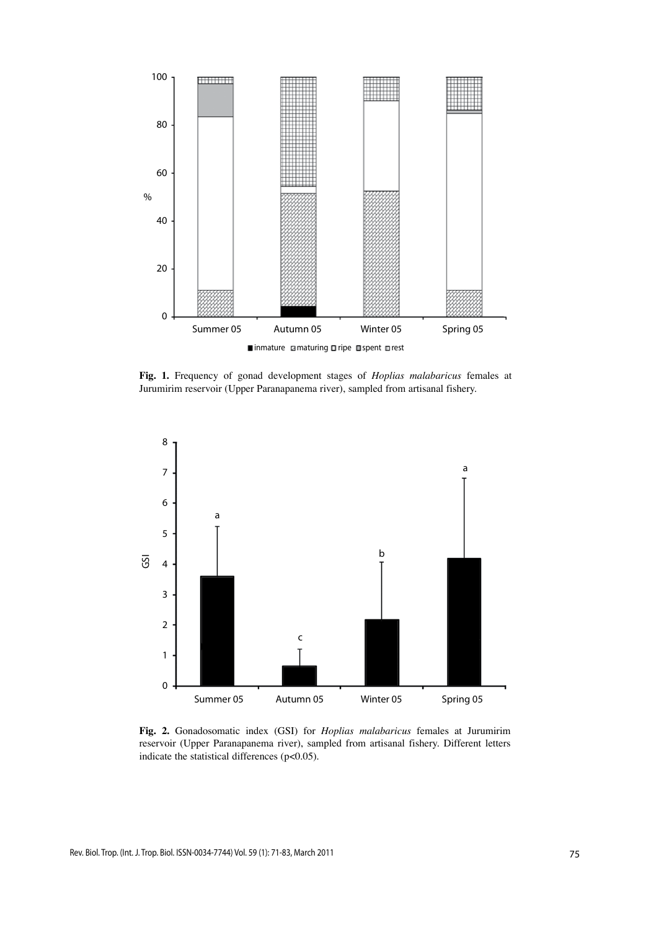

**Fig. 1.** Frequency of gonad development stages of *Hoplias malabaricus* females at Jurumirim reservoir (Upper Paranapanema river), sampled from artisanal fishery.



**Fig. 2.** Gonadosomatic index (GSI) for *Hoplias malabaricus* females at Jurumirim reservoir (Upper Paranapanema river), sampled from artisanal fishery. Different letters indicate the statistical differences (p<0.05).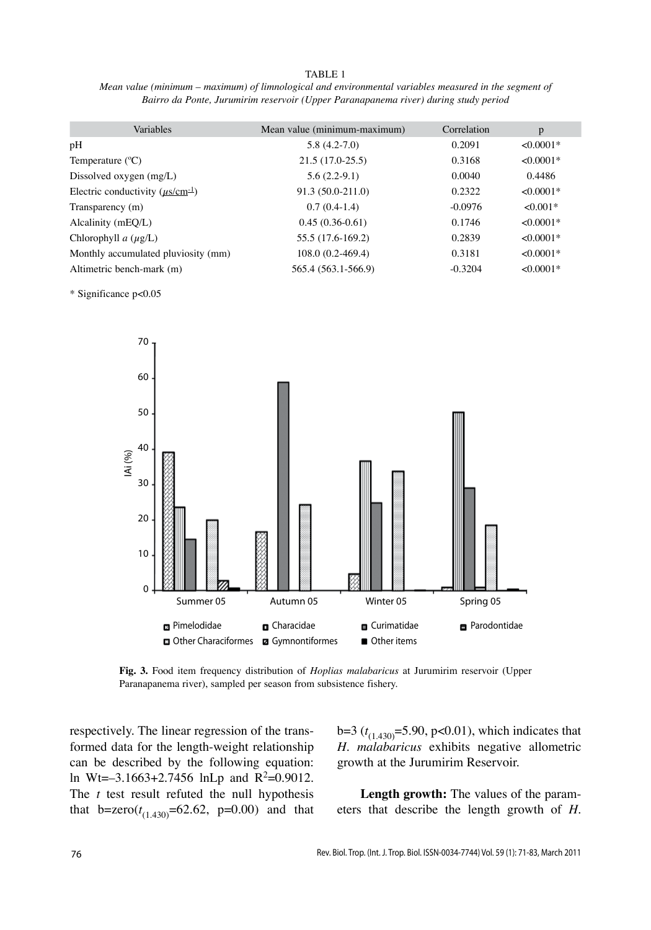#### TABLE 1

*Mean value (minimum – maximum) of limnological and environmental variables measured in the segment of Bairro da Ponte, Jurumirim reservoir (Upper Paranapanema river) during study period*

| Variables                               | Mean value (minimum-maximum) | Correlation | p           |
|-----------------------------------------|------------------------------|-------------|-------------|
| pH                                      | $5.8(4.2 - 7.0)$             | 0.2091      | $< 0.0001*$ |
| Temperature $({}^{\circ}C)$             | $21.5(17.0-25.5)$            | 0.3168      | $< 0.0001*$ |
| Dissolved oxygen $(mg/L)$               | $5.6(2.2-9.1)$               | 0.0040      | 0.4486      |
| Electric conductivity $(\mu s/cm^{-1})$ | 91.3 (50.0-211.0)            | 0.2322      | $< 0.0001*$ |
| Transparency (m)                        | $0.7(0.4-1.4)$               | $-0.0976$   | $<0.001*$   |
| Alcalinity (mEO/L)                      | $0.45(0.36-0.61)$            | 0.1746      | $<0.0001*$  |
| Chlorophyll $a(\mu g/L)$                | 55.5 (17.6-169.2)            | 0.2839      | $< 0.0001*$ |
| Monthly accumulated pluviosity (mm)     | $108.0(0.2-469.4)$           | 0.3181      | $<0.0001*$  |
| Altimetric bench-mark (m)               | 565.4 (563.1-566.9)          | $-0.3204$   | $< 0.0001*$ |

\* Significance p<0.05



**Fig. 3.** Food item frequency distribution of *Hoplias malabaricus* at Jurumirim reservoir (Upper Paranapanema river), sampled per season from subsistence fishery.

respectively. The linear regression of the transformed data for the length-weight relationship can be described by the following equation: ln Wt= $-3.1663+2.7456$  lnLp and R<sup>2</sup>=0.9012. The *t* test result refuted the null hypothesis that  $b=$ zero $(t_{(1.430)}=62.62, p=0.00)$  and that

 $b=3$  ( $t_{(1,430)}=5.90$ , p<0.01), which indicates that *H. malabaricus* exhibits negative allometric growth at the Jurumirim Reservoir.

**Length growth:** The values of the parameters that describe the length growth of *H.*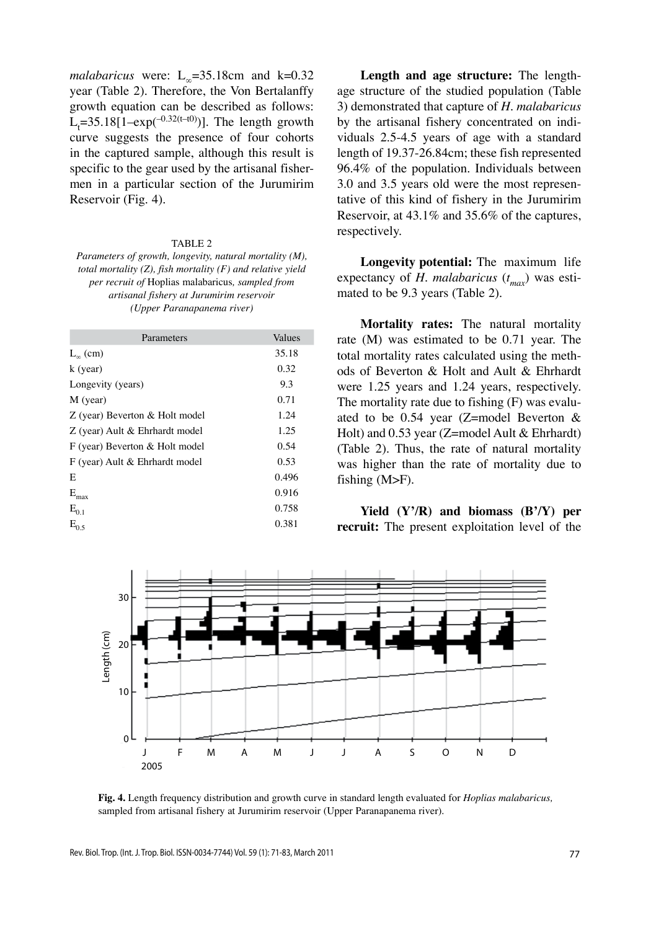*malabaricus* were:  $L_{\infty}$ =35.18cm and k=0.32 year (Table 2). Therefore, the Von Bertalanffy growth equation can be described as follows:  $L_t$ =35.18[1–exp(<sup>-0.32(t–t0)</sup>)]. The length growth curve suggests the presence of four cohorts in the captured sample, although this result is specific to the gear used by the artisanal fishermen in a particular section of the Jurumirim Reservoir (Fig. 4).

#### Table 2

*Parameters of growth, longevity, natural mortality (M), total mortality (Z), fish mortality (F) and relative yield per recruit of* Hoplias malabaricus*, sampled from artisanal fishery at Jurumirim reservoir (Upper Paranapanema river)*

| Parameters                     | Values |
|--------------------------------|--------|
| $L_{\infty}$ (cm)              | 35.18  |
| $k$ (year)                     | 0.32   |
| Longevity (years)              | 9.3    |
| M (year)                       | 0.71   |
| Z (year) Beverton & Holt model | 1.24   |
| Z (year) Ault & Ehrhardt model | 1.25   |
| F (year) Beverton & Holt model | 0.54   |
| F (year) Ault & Ehrhardt model | 0.53   |
| E                              | 0.496  |
| $\mathbf{E}_{\text{max}}$      | 0.916  |
| $E_{0.1}$                      | 0.758  |
| $E_{0.5}$                      | 0.381  |

**Length and age structure:** The lengthage structure of the studied population (Table 3) demonstrated that capture of *H. malabaricus* by the artisanal fishery concentrated on individuals 2.5-4.5 years of age with a standard length of 19.37-26.84cm; these fish represented 96.4% of the population. Individuals between 3.0 and 3.5 years old were the most representative of this kind of fishery in the Jurumirim Reservoir, at 43.1% and 35.6% of the captures, respectively.

**Longevity potential:** The maximum life expectancy of *H. malabaricus* (*t max*) was estimated to be 9.3 years (Table 2).

**Mortality rates:** The natural mortality rate (M) was estimated to be 0.71 year. The total mortality rates calculated using the methods of Beverton & Holt and Ault & Ehrhardt were 1.25 years and 1.24 years, respectively. The mortality rate due to fishing (F) was evaluated to be 0.54 year (Z=model Beverton & Holt) and 0.53 year (Z=model Ault & Ehrhardt) (Table 2). Thus, the rate of natural mortality was higher than the rate of mortality due to fishing (M>F).

**Yield (Y'/R) and biomass (B'/Y) per recruit:** The present exploitation level of the



**Fig. 4.** Length frequency distribution and growth curve in standard length evaluated for *Hoplias malabaricus,* sampled from artisanal fishery at Jurumirim reservoir (Upper Paranapanema river).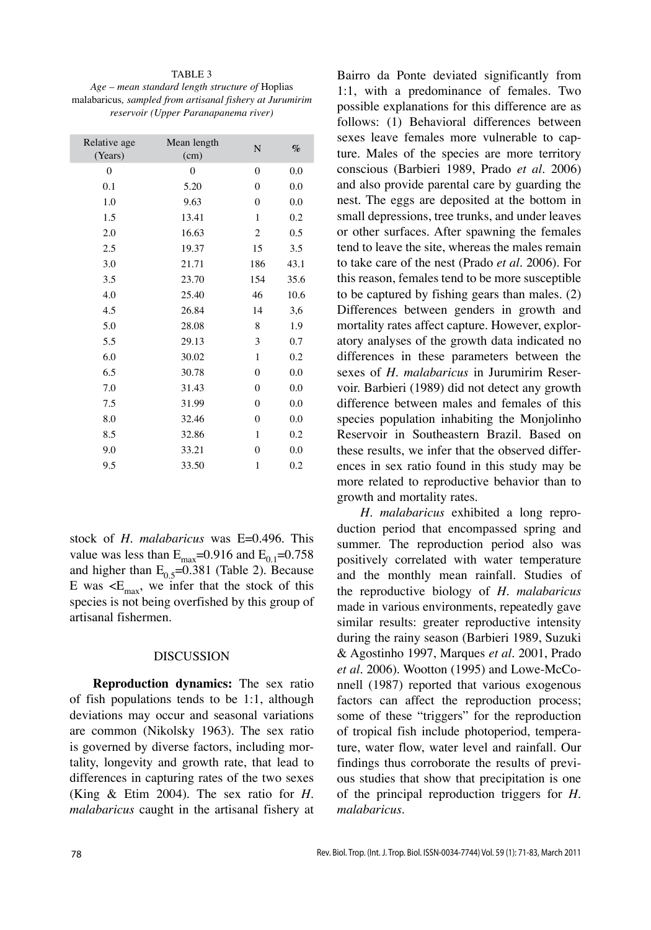#### TABLE 3

*Age – mean standard length structure of* Hoplias malabaricus*, sampled from artisanal fishery at Jurumirim reservoir (Upper Paranapanema river)*

| Relative age<br>(Years) | Mean length<br>(cm) | N              | $\%$ |
|-------------------------|---------------------|----------------|------|
| $\mathbf{0}$            | $\mathbf{0}$        | $\overline{0}$ | 0.0  |
| 0.1                     | 5.20                | $\overline{0}$ | 0.0  |
| 1.0                     | 9.63                | $\theta$       | 0.0  |
| 1.5                     | 13.41               | $\mathbf{1}$   | 0.2  |
| 2.0                     | 16.63               | $\mathfrak{2}$ | 0.5  |
| 2.5                     | 19.37               | 15             | 3.5  |
| 3.0                     | 21.71               | 186            | 43.1 |
| 3.5                     | 23.70               | 154            | 35.6 |
| 4.0                     | 25.40               | 46             | 10.6 |
| 4.5                     | 26.84               | 14             | 3,6  |
| 5.0                     | 28.08               | 8              | 1.9  |
| 5.5                     | 29.13               | 3              | 0.7  |
| 6.0                     | 30.02               | 1              | 0.2  |
| 6.5                     | 30.78               | $\theta$       | 0.0  |
| 7.0                     | 31.43               | $\theta$       | 0.0  |
| 7.5                     | 31.99               | $\theta$       | 0.0  |
| 8.0                     | 32.46               | $\overline{0}$ | 0.0  |
| 8.5                     | 32.86               | $\mathbf{1}$   | 0.2  |
| 9.0                     | 33.21               | $\overline{0}$ | 0.0  |
| 9.5                     | 33.50               | $\mathbf{1}$   | 0.2  |
|                         |                     |                |      |

stock of *H. malabaricus* was E=0.496. This value was less than  $E_{\text{max}}$ =0.916 and  $E_{0.1}$ =0.758 and higher than  $E_{0.5}$ =0.381 (Table 2). Because E was  $\leq$ E<sub>max</sub>, we infer that the stock of this species is not being overfished by this group of artisanal fishermen.

# DISCUSSION

**Reproduction dynamics:** The sex ratio of fish populations tends to be 1:1, although deviations may occur and seasonal variations are common (Nikolsky 1963). The sex ratio is governed by diverse factors, including mortality, longevity and growth rate, that lead to differences in capturing rates of the two sexes (King & Etim 2004). The sex ratio for *H. malabaricus* caught in the artisanal fishery at Bairro da Ponte deviated significantly from 1:1, with a predominance of females. Two possible explanations for this difference are as follows: (1) Behavioral differences between sexes leave females more vulnerable to capture. Males of the species are more territory conscious (Barbieri 1989, Prado *et al.* 2006) and also provide parental care by guarding the nest. The eggs are deposited at the bottom in small depressions, tree trunks, and under leaves or other surfaces. After spawning the females tend to leave the site, whereas the males remain to take care of the nest (Prado *et al.* 2006). For this reason, females tend to be more susceptible to be captured by fishing gears than males. (2) Differences between genders in growth and mortality rates affect capture. However, exploratory analyses of the growth data indicated no differences in these parameters between the sexes of *H. malabaricus* in Jurumirim Reservoir. Barbieri (1989) did not detect any growth difference between males and females of this species population inhabiting the Monjolinho Reservoir in Southeastern Brazil. Based on these results, we infer that the observed differences in sex ratio found in this study may be more related to reproductive behavior than to growth and mortality rates.

*H. malabaricus* exhibited a long reproduction period that encompassed spring and summer. The reproduction period also was positively correlated with water temperature and the monthly mean rainfall. Studies of the reproductive biology of *H. malabaricus* made in various environments, repeatedly gave similar results: greater reproductive intensity during the rainy season (Barbieri 1989, Suzuki & Agostinho 1997, Marques *et al.* 2001, Prado *et al.* 2006). Wootton (1995) and Lowe-McConnell (1987) reported that various exogenous factors can affect the reproduction process; some of these "triggers" for the reproduction of tropical fish include photoperiod, temperature, water flow, water level and rainfall. Our findings thus corroborate the results of previous studies that show that precipitation is one of the principal reproduction triggers for *H. malabaricus.*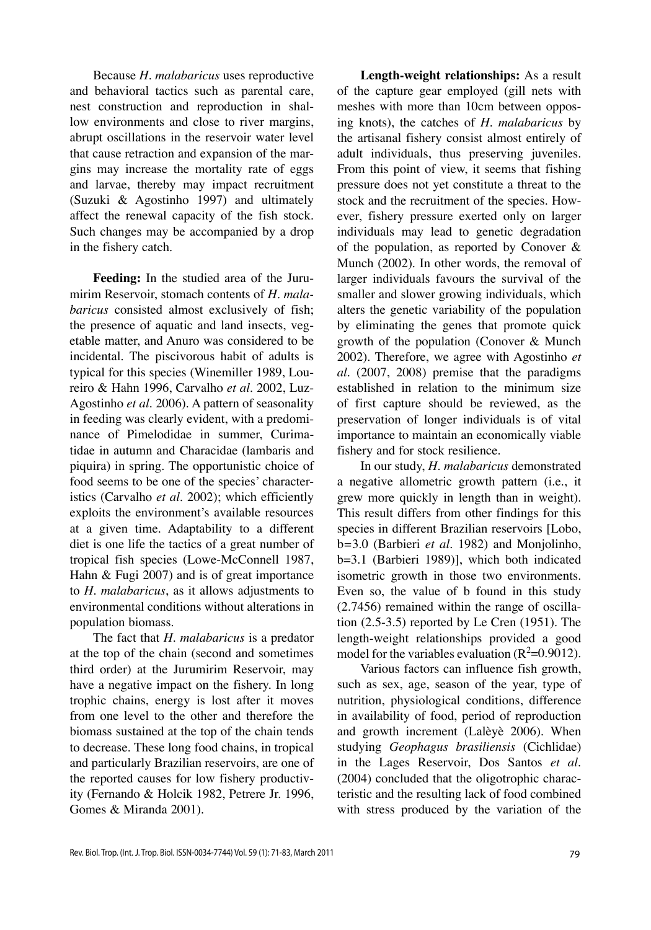Because *H. malabaricus* uses reproductive and behavioral tactics such as parental care, nest construction and reproduction in shallow environments and close to river margins, abrupt oscillations in the reservoir water level that cause retraction and expansion of the margins may increase the mortality rate of eggs and larvae, thereby may impact recruitment (Suzuki & Agostinho 1997) and ultimately affect the renewal capacity of the fish stock. Such changes may be accompanied by a drop in the fishery catch.

**Feeding:** In the studied area of the Jurumirim Reservoir, stomach contents of *H. malabaricus* consisted almost exclusively of fish; the presence of aquatic and land insects, vegetable matter, and Anuro was considered to be incidental. The piscivorous habit of adults is typical for this species (Winemiller 1989, Loureiro & Hahn 1996, Carvalho *et al.* 2002, Luz-Agostinho *et al.* 2006). A pattern of seasonality in feeding was clearly evident, with a predominance of Pimelodidae in summer, Curimatidae in autumn and Characidae (lambaris and piquira) in spring. The opportunistic choice of food seems to be one of the species' characteristics (Carvalho *et al.* 2002); which efficiently exploits the environment's available resources at a given time. Adaptability to a different diet is one life the tactics of a great number of tropical fish species (Lowe-McConnell 1987, Hahn & Fugi 2007) and is of great importance to *H. malabaricus*, as it allows adjustments to environmental conditions without alterations in population biomass.

The fact that *H. malabaricus* is a predator at the top of the chain (second and sometimes third order) at the Jurumirim Reservoir, may have a negative impact on the fishery. In long trophic chains, energy is lost after it moves from one level to the other and therefore the biomass sustained at the top of the chain tends to decrease. These long food chains, in tropical and particularly Brazilian reservoirs, are one of the reported causes for low fishery productivity (Fernando & Holcik 1982, Petrere Jr. 1996, Gomes & Miranda 2001).

**Length-weight relationships:** As a result of the capture gear employed (gill nets with meshes with more than 10cm between opposing knots), the catches of *H. malabaricus* by the artisanal fishery consist almost entirely of adult individuals, thus preserving juveniles. From this point of view, it seems that fishing pressure does not yet constitute a threat to the stock and the recruitment of the species. However, fishery pressure exerted only on larger individuals may lead to genetic degradation of the population, as reported by Conover & Munch (2002). In other words, the removal of larger individuals favours the survival of the smaller and slower growing individuals, which alters the genetic variability of the population by eliminating the genes that promote quick growth of the population (Conover & Munch 2002). Therefore, we agree with Agostinho *et al.* (2007, 2008) premise that the paradigms established in relation to the minimum size of first capture should be reviewed, as the preservation of longer individuals is of vital importance to maintain an economically viable fishery and for stock resilience.

In our study, *H. malabaricus* demonstrated a negative allometric growth pattern (i.e., it grew more quickly in length than in weight). This result differs from other findings for this species in different Brazilian reservoirs [Lobo, b*=*3.0 (Barbieri *et al.* 1982) and Monjolinho, b=3.1 (Barbieri 1989)], which both indicated isometric growth in those two environments. Even so, the value of b found in this study (2.7456) remained within the range of oscillation (2.5-3.5) reported by Le Cren (1951). The length-weight relationships provided a good model for the variables evaluation ( $R^2$ =0.9012).

Various factors can influence fish growth, such as sex, age, season of the year, type of nutrition, physiological conditions, difference in availability of food, period of reproduction and growth increment (Lalèyè 2006). When studying *Geophagus brasiliensis* (Cichlidae) in the Lages Reservoir, Dos Santos *et al.* (2004) concluded that the oligotrophic characteristic and the resulting lack of food combined with stress produced by the variation of the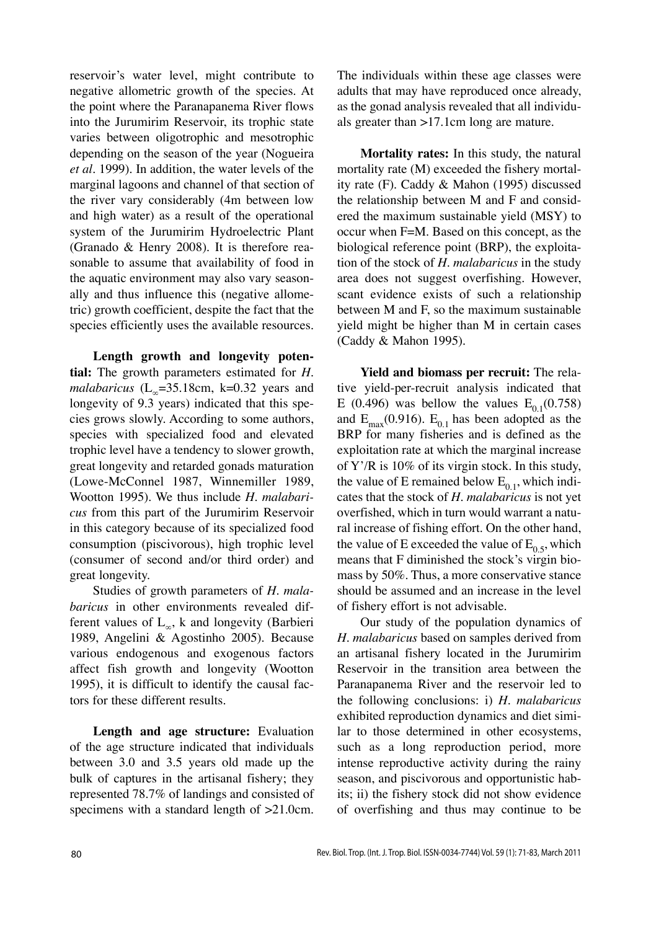reservoir's water level, might contribute to negative allometric growth of the species. At the point where the Paranapanema River flows into the Jurumirim Reservoir, its trophic state varies between oligotrophic and mesotrophic depending on the season of the year (Nogueira *et al.* 1999). In addition, the water levels of the marginal lagoons and channel of that section of the river vary considerably (4m between low and high water) as a result of the operational system of the Jurumirim Hydroelectric Plant (Granado & Henry 2008). It is therefore reasonable to assume that availability of food in the aquatic environment may also vary seasonally and thus influence this (negative allometric) growth coefficient, despite the fact that the species efficiently uses the available resources.

**Length growth and longevity potential:** The growth parameters estimated for *H. malabaricus* ( $L_{\infty}$ =35.18cm, k=0.32 years and longevity of 9.3 years) indicated that this species grows slowly. According to some authors, species with specialized food and elevated trophic level have a tendency to slower growth, great longevity and retarded gonads maturation (Lowe-McConnel 1987, Winnemiller 1989, Wootton 1995). We thus include *H. malabaricus* from this part of the Jurumirim Reservoir in this category because of its specialized food consumption (piscivorous), high trophic level (consumer of second and/or third order) and great longevity.

Studies of growth parameters of *H. malabaricus* in other environments revealed different values of  $L_{\infty}$ , k and longevity (Barbieri 1989, Angelini & Agostinho 2005). Because various endogenous and exogenous factors affect fish growth and longevity (Wootton 1995), it is difficult to identify the causal factors for these different results.

**Length and age structure:** Evaluation of the age structure indicated that individuals between 3.0 and 3.5 years old made up the bulk of captures in the artisanal fishery; they represented 78.7% of landings and consisted of specimens with a standard length of  $>21.0$ cm.

The individuals within these age classes were adults that may have reproduced once already, as the gonad analysis revealed that all individuals greater than >17.1cm long are mature.

**Mortality rates:** In this study, the natural mortality rate (M) exceeded the fishery mortality rate (F). Caddy & Mahon (1995) discussed the relationship between M and F and considered the maximum sustainable yield (MSY) to occur when F=M. Based on this concept, as the biological reference point (BRP), the exploitation of the stock of *H. malabaricus* in the study area does not suggest overfishing. However, scant evidence exists of such a relationship between M and F, so the maximum sustainable yield might be higher than M in certain cases (Caddy & Mahon 1995).

**Yield and biomass per recruit:** The relative yield-per-recruit analysis indicated that E (0.496) was bellow the values  $E_{0.1}$ (0.758) and  $E_{\text{max}}(0.916)$ .  $E_{0.1}$  has been adopted as the BRP for many fisheries and is defined as the exploitation rate at which the marginal increase of Y'/R is 10% of its virgin stock. In this study, the value of E remained below  $E_{0,1}$ , which indicates that the stock of *H. malabaricus* is not yet overfished, which in turn would warrant a natural increase of fishing effort. On the other hand, the value of E exceeded the value of  $E_0$ <sub>5</sub>, which means that F diminished the stock's virgin biomass by 50%. Thus, a more conservative stance should be assumed and an increase in the level of fishery effort is not advisable.

Our study of the population dynamics of *H. malabaricus* based on samples derived from an artisanal fishery located in the Jurumirim Reservoir in the transition area between the Paranapanema River and the reservoir led to the following conclusions: i) *H. malabaricus* exhibited reproduction dynamics and diet similar to those determined in other ecosystems, such as a long reproduction period, more intense reproductive activity during the rainy season, and piscivorous and opportunistic habits; ii) the fishery stock did not show evidence of overfishing and thus may continue to be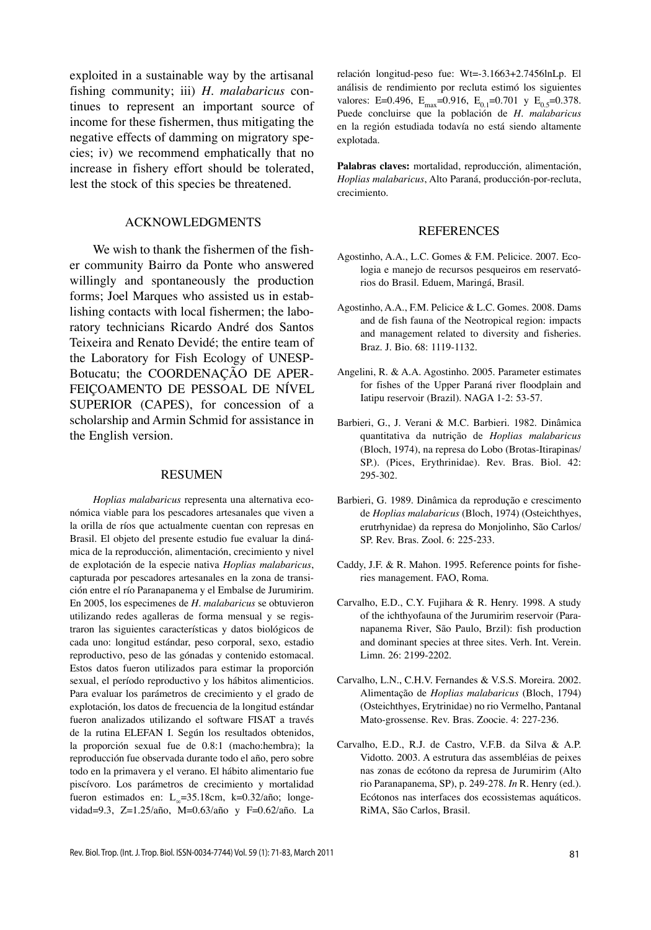exploited in a sustainable way by the artisanal fishing community; iii) *H. malabaricus* continues to represent an important source of income for these fishermen, thus mitigating the negative effects of damming on migratory species; iv) we recommend emphatically that no increase in fishery effort should be tolerated, lest the stock of this species be threatened.

# ACKNOWLEDGMENTS

We wish to thank the fishermen of the fisher community Bairro da Ponte who answered willingly and spontaneously the production forms; Joel Marques who assisted us in establishing contacts with local fishermen; the laboratory technicians Ricardo André dos Santos Teixeira and Renato Devidé; the entire team of the Laboratory for Fish Ecology of UNESP-Botucatu; the COORDENAÇÃO DE APER-FEIÇOAMENTO DE PESSOAL DE NÍVEL SUPERIOR (CAPES), for concession of a scholarship and Armin Schmid for assistance in the English version.

### RESUMEN

*Hoplias malabaricus* representa una alternativa económica viable para los pescadores artesanales que viven a la orilla de ríos que actualmente cuentan con represas en Brasil. El objeto del presente estudio fue evaluar la dinámica de la reproducción, alimentación, crecimiento y nivel de explotación de la especie nativa *Hoplias malabaricus*, capturada por pescadores artesanales en la zona de transición entre el río Paranapanema y el Embalse de Jurumirim. En 2005, los especimenes de *H. malabaricus* se obtuvieron utilizando redes agalleras de forma mensual y se registraron las siguientes características y datos biológicos de cada uno: longitud estándar, peso corporal, sexo, estadio reproductivo, peso de las gónadas y contenido estomacal. Estos datos fueron utilizados para estimar la proporción sexual, el período reproductivo y los hábitos alimenticios. Para evaluar los parámetros de crecimiento y el grado de explotación, los datos de frecuencia de la longitud estándar fueron analizados utilizando el software FISAT a través de la rutina ELEFAN I. Según los resultados obtenidos, la proporción sexual fue de 0.8:1 (macho:hembra); la reproducción fue observada durante todo el año, pero sobre todo en la primavera y el verano. El hábito alimentario fue piscívoro. Los parámetros de crecimiento y mortalidad fueron estimados en: L<sub>∞</sub>=35.18cm, k=0.32/año; longevidad=9.3, Z=1.25/año, M=0.63/año y F=0.62/año. La

relación longitud-peso fue: Wt=-3.1663+2.7456lnLp. El análisis de rendimiento por recluta estimó los siguientes valores: E=0.496, E<sub>max</sub>=0.916, E<sub>0.1</sub>=0.701 y E<sub>0.5</sub>=0.378. Puede concluirse que la población de *H. malabaricus* en la región estudiada todavía no está siendo altamente explotada.

**Palabras claves:** mortalidad, reproducción, alimentación, *Hoplias malabaricus*, Alto Paraná, producción-por-recluta, crecimiento.

#### REFERENCES

- Agostinho, A.A., L.C. Gomes & F.M. Pelicice. 2007. Ecologia e manejo de recursos pesqueiros em reservatórios do Brasil. Eduem, Maringá, Brasil.
- Agostinho, A.A., F.M. Pelicice & L.C. Gomes. 2008. Dams and de fish fauna of the Neotropical region: impacts and management related to diversity and fisheries. Braz. J. Bio. 68: 1119-1132.
- Angelini, R. & A.A. Agostinho. 2005. Parameter estimates for fishes of the Upper Paraná river floodplain and Iatipu reservoir (Brazil). NAGA 1-2: 53-57.
- Barbieri, G., J. Verani & M.C. Barbieri. 1982. Dinâmica quantitativa da nutrição de *Hoplias malabaricus* (Bloch, 1974), na represa do Lobo (Brotas-Itirapinas/ SP.). (Pices, Erythrinidae). Rev. Bras. Biol. 42: 295-302.
- Barbieri, G. 1989. Dinâmica da reprodução e crescimento de *Hoplias malabaricus* (Bloch, 1974) (Osteichthyes, erutrhynidae) da represa do Monjolinho, São Carlos/ SP. Rev. Bras. Zool. 6: 225-233.
- Caddy, J.F. & R. Mahon. 1995. Reference points for fisheries management. FAO, Roma.
- Carvalho, E.D., C.Y. Fujihara & R. Henry. 1998. A study of the ichthyofauna of the Jurumirim reservoir (Paranapanema River, São Paulo, Brzil): fish production and dominant species at three sites. Verh. Int. Verein. Limn. 26: 2199-2202.
- Carvalho, L.N., C.H.V. Fernandes & V.S.S. Moreira. 2002. Alimentação de *Hoplias malabaricus* (Bloch, 1794) (Osteichthyes, Erytrinidae) no rio Vermelho, Pantanal Mato-grossense. Rev. Bras. Zoocie. 4: 227-236.
- Carvalho, E.D., R.J. de Castro, V.F.B. da Silva & A.P. Vidotto. 2003. A estrutura das assembléias de peixes nas zonas de ecótono da represa de Jurumirim (Alto rio Paranapanema, SP), p. 249-278. *In* R. Henry (ed.). Ecótonos nas interfaces dos ecossistemas aquáticos. RiMA, São Carlos, Brasil.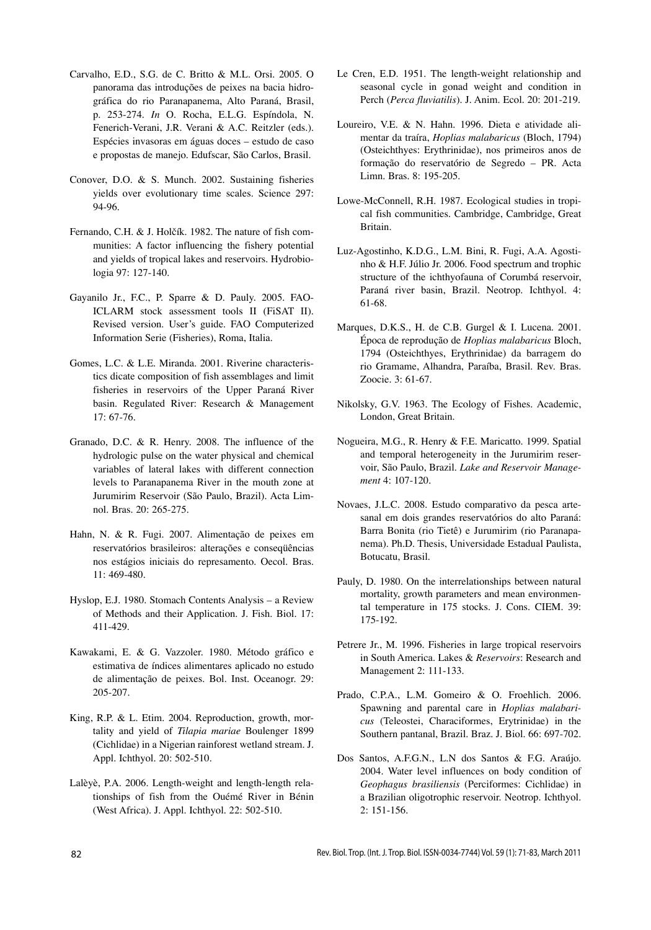- Carvalho, E.D., S.G. de C. Britto & M.L. Orsi. 2005. O panorama das introduções de peixes na bacia hidrográfica do rio Paranapanema, Alto Paraná, Brasil, p. 253-274. *In* O. Rocha, E.L.G. Espíndola, N. Fenerich-Verani, J.R. Verani & A.C. Reitzler (eds.). Espécies invasoras em águas doces – estudo de caso e propostas de manejo. Edufscar, São Carlos, Brasil.
- Conover, D.O. & S. Munch. 2002. Sustaining fisheries yields over evolutionary time scales. Science 297: 94-96.
- Fernando, C.H. & J. Holčík. 1982. The nature of fish communities: A factor influencing the fishery potential and yields of tropical lakes and reservoirs. Hydrobiologia 97: 127-140.
- Gayanilo Jr., F.C., P. Sparre & D. Pauly. 2005. FAO-ICLARM stock assessment tools II (FiSAT II). Revised version. User's guide. FAO Computerized Information Serie (Fisheries), Roma, Italia.
- Gomes, L.C. & L.E. Miranda. 2001. Riverine characteristics dicate composition of fish assemblages and limit fisheries in reservoirs of the Upper Paraná River basin. Regulated River: Research & Management 17: 67-76.
- Granado, D.C. & R. Henry. 2008. The influence of the hydrologic pulse on the water physical and chemical variables of lateral lakes with different connection levels to Paranapanema River in the mouth zone at Jurumirim Reservoir (São Paulo, Brazil). Acta Limnol. Bras. 20: 265-275.
- Hahn, N. & R. Fugi. 2007. Alimentação de peixes em reservatórios brasileiros: alterações e conseqüências nos estágios iniciais do represamento. Oecol. Bras. 11: 469-480.
- Hyslop, E.J. 1980. Stomach Contents Analysis a Review of Methods and their Application. J. Fish. Biol. 17: 411-429.
- Kawakami, E. & G. Vazzoler. 1980. Método gráfico e estimativa de índices alimentares aplicado no estudo de alimentação de peixes. Bol. Inst. Oceanogr. 29: 205-207.
- King, R.P. & L. Etim. 2004. Reproduction, growth, mortality and yield of *Tilapia mariae* Boulenger 1899 (Cichlidae) in a Nigerian rainforest wetland stream. J. Appl. Ichthyol. 20: 502-510.
- Lalèyè, P.A. 2006. Length-weight and length-length relationships of fish from the Ouémé River in Bénin (West Africa). J. Appl. Ichthyol. 22: 502-510.
- Le Cren, E.D. 1951. The length-weight relationship and seasonal cycle in gonad weight and condition in Perch (*Perca fluviatilis*). J. Anim. Ecol. 20: 201-219.
- Loureiro, V.E. & N. Hahn. 1996. Dieta e atividade alimentar da traíra, *Hoplias malabaricus* (Bloch, 1794) (Osteichthyes: Erythrinidae), nos primeiros anos de formação do reservatório de Segredo – PR. Acta Limn. Bras. 8: 195-205.
- Lowe-McConnell, R.H. 1987. Ecological studies in tropical fish communities. Cambridge, Cambridge, Great Britain.
- Luz-Agostinho, K.D.G., L.M. Bini, R. Fugi, A.A. Agostinho & H.F. Júlio Jr. 2006. Food spectrum and trophic structure of the ichthyofauna of Corumbá reservoir, Paraná river basin, Brazil. Neotrop. Ichthyol. 4: 61-68.
- Marques, D.K.S., H. de C.B. Gurgel & I. Lucena. 2001. Época de reprodução de *Hoplias malabaricus* Bloch, 1794 (Osteichthyes, Erythrinidae) da barragem do rio Gramame, Alhandra, Paraíba, Brasil. Rev. Bras. Zoocie. 3: 61-67.
- Nikolsky, G.V. 1963. The Ecology of Fishes. Academic, London, Great Britain.
- Nogueira, M.G., R. Henry & F.E. Maricatto. 1999. Spatial and temporal heterogeneity in the Jurumirim reservoir, São Paulo, Brazil. *Lake and Reservoir Management* 4: 107-120.
- Novaes, J.L.C. 2008. Estudo comparativo da pesca artesanal em dois grandes reservatórios do alto Paraná: Barra Bonita (rio Tietê) e Jurumirim (rio Paranapanema). Ph.D. Thesis, Universidade Estadual Paulista, Botucatu, Brasil.
- Pauly, D. 1980. On the interrelationships between natural mortality, growth parameters and mean environmental temperature in 175 stocks. J. Cons. CIEM. 39: 175-192.
- Petrere Jr., M. 1996. Fisheries in large tropical reservoirs in South America. Lakes & *Reservoirs*: Research and Management 2: 111-133.
- Prado, C.P.A., L.M. Gomeiro & O. Froehlich. 2006. Spawning and parental care in *Hoplias malabaricus* (Teleostei, Characiformes, Erytrinidae) in the Southern pantanal, Brazil. Braz. J. Biol. 66: 697-702.
- Dos Santos, A.F.G.N., L.N dos Santos & F.G. Araújo. 2004. Water level influences on body condition of *Geophagus brasiliensis* (Perciformes: Cichlidae) in a Brazilian oligotrophic reservoir. Neotrop. Ichthyol. 2: 151-156.